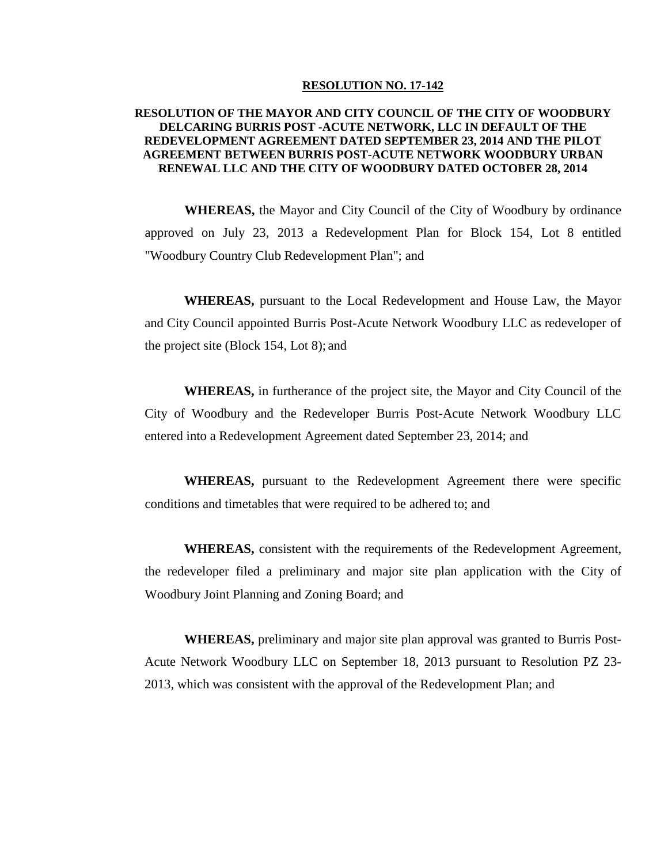#### **RESOLUTION NO. 17-142**

### **RESOLUTION OF THE MAYOR AND CITY COUNCIL OF THE CITY OF WOODBURY DELCARING BURRIS POST -ACUTE NETWORK, LLC IN DEFAULT OF THE REDEVELOPMENT AGREEMENT DATED SEPTEMBER 23, 2014 AND THE PILOT AGREEMENT BETWEEN BURRIS POST-ACUTE NETWORK WOODBURY URBAN RENEWAL LLC AND THE CITY OF WOODBURY DATED OCTOBER 28, 2014**

**WHEREAS,** the Mayor and City Council of the City of Woodbury by ordinance approved on July 23, 2013 a Redevelopment Plan for Block 154, Lot 8 entitled "Woodbury Country Club Redevelopment Plan"; and

**WHEREAS,** pursuant to the Local Redevelopment and House Law, the Mayor and City Council appointed Burris Post-Acute Network Woodbury LLC as redeveloper of the project site (Block 154, Lot 8); and

**WHEREAS,** in furtherance of the project site, the Mayor and City Council of the City of Woodbury and the Redeveloper Burris Post-Acute Network Woodbury LLC entered into a Redevelopment Agreement dated September 23, 2014; and

**WHEREAS,** pursuant to the Redevelopment Agreement there were specific conditions and timetables that were required to be adhered to; and

**WHEREAS,** consistent with the requirements of the Redevelopment Agreement, the redeveloper filed a preliminary and major site plan application with the City of Woodbury Joint Planning and Zoning Board; and

**WHEREAS,** preliminary and major site plan approval was granted to Burris Post-Acute Network Woodbury LLC on September 18, 2013 pursuant to Resolution PZ 23- 2013, which was consistent with the approval of the Redevelopment Plan; and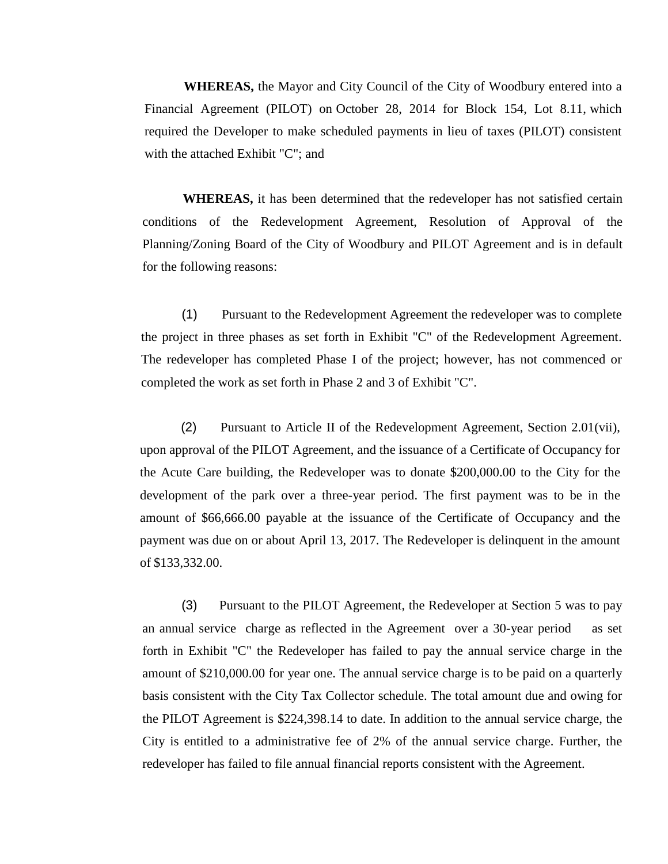**WHEREAS,** the Mayor and City Council of the City of Woodbury entered into a Financial Agreement (PILOT) on October 28, 2014 for Block 154, Lot 8.11, which required the Developer to make scheduled payments in lieu of taxes (PILOT) consistent with the attached Exhibit "C"; and

**WHEREAS,** it has been determined that the redeveloper has not satisfied certain conditions of the Redevelopment Agreement, Resolution of Approval of the Planning/Zoning Board of the City of Woodbury and PILOT Agreement and is in default for the following reasons:

(1) Pursuant to the Redevelopment Agreement the redeveloper was to complete the project in three phases as set forth in Exhibit "C" of the Redevelopment Agreement. The redeveloper has completed Phase I of the project; however, has not commenced or completed the work as set forth in Phase 2 and 3 of Exhibit "C".

(2) Pursuant to Article II of the Redevelopment Agreement, Section 2.01(vii), upon approval of the PILOT Agreement, and the issuance of a Certificate of Occupancy for the Acute Care building, the Redeveloper was to donate \$200,000.00 to the City for the development of the park over a three-year period. The first payment was to be in the amount of \$66,666.00 payable at the issuance of the Certificate of Occupancy and the payment was due on or about April 13, 2017. The Redeveloper is delinquent in the amount of \$133,332.00.

(3) Pursuant to the PILOT Agreement, the Redeveloper at Section 5 was to pay an annual service charge as reflected in the Agreement over a 30-year period as set forth in Exhibit "C" the Redeveloper has failed to pay the annual service charge in the amount of \$210,000.00 for year one. The annual service charge is to be paid on a quarterly basis consistent with the City Tax Collector schedule. The total amount due and owing for the PILOT Agreement is \$224,398.14 to date. In addition to the annual service charge, the City is entitled to a administrative fee of 2% of the annual service charge. Further, the redeveloper has failed to file annual financial reports consistent with the Agreement.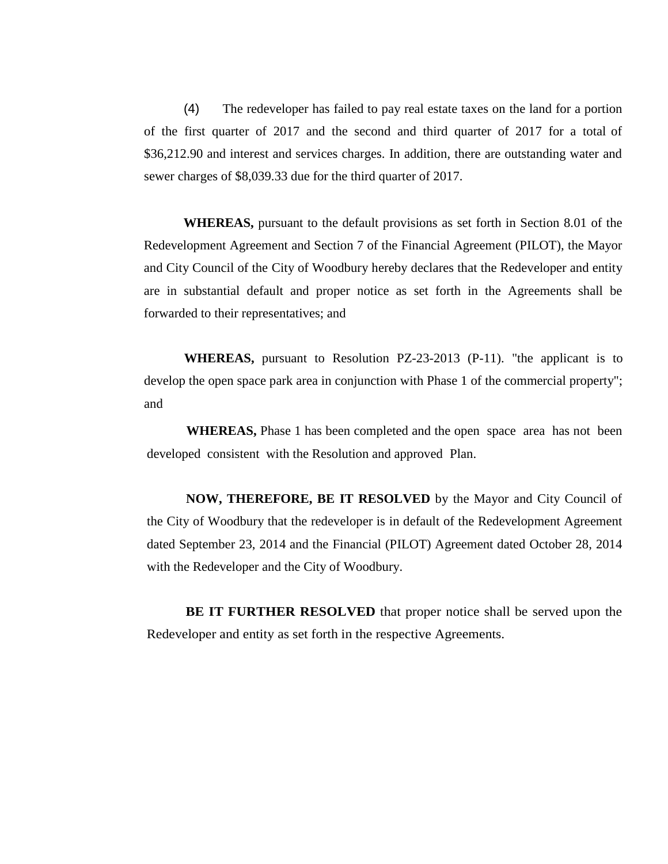(4) The redeveloper has failed to pay real estate taxes on the land for a portion of the first quarter of 2017 and the second and third quarter of 2017 for a total of \$36,212.90 and interest and services charges. In addition, there are outstanding water and sewer charges of \$8,039.33 due for the third quarter of 2017.

**WHEREAS,** pursuant to the default provisions as set forth in Section 8.01 of the Redevelopment Agreement and Section 7 of the Financial Agreement (PILOT), the Mayor and City Council of the City of Woodbury hereby declares that the Redeveloper and entity are in substantial default and proper notice as set forth in the Agreements shall be forwarded to their representatives; and

**WHEREAS,** pursuant to Resolution PZ-23-2013 (P-11). "the applicant is to develop the open space park area in conjunction with Phase 1 of the commercial property"; and

**WHEREAS,** Phase 1 has been completed and the open space area has not been developed consistent with the Resolution and approved Plan.

**NOW, THEREFORE, BE IT RESOLVED** by the Mayor and City Council of the City of Woodbury that the redeveloper is in default of the Redevelopment Agreement dated September 23, 2014 and the Financial (PILOT) Agreement dated October 28, 2014 with the Redeveloper and the City of Woodbury.

**BE IT FURTHER RESOLVED** that proper notice shall be served upon the Redeveloper and entity as set forth in the respective Agreements.